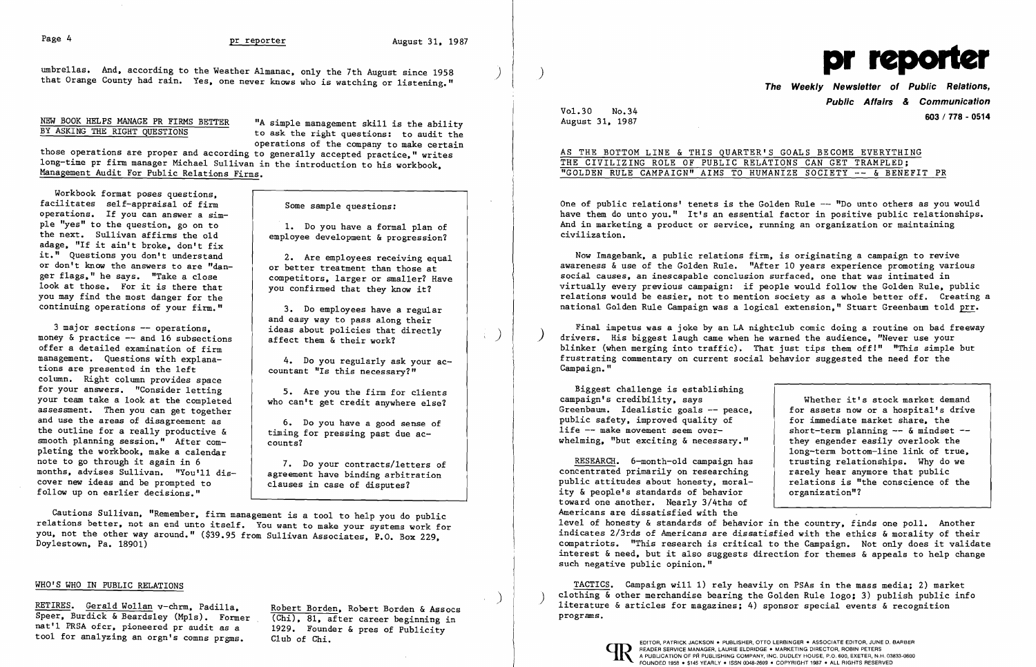NEW BOOK HELPS MANAGE PR FIRMS BETTER "A simple management skill is the ability BY ASKING THE RIGHT QUESTIONS to ask the right questions: to audit the operations of the company to make certain

> 1. Do you have a formal plan of  $emplope development & progression?$

those operations are proper and according to generally accepted practice." writes long-time pr firm manager Michael Sullivan in the introduction to his workbook. Management Audit For Public Relations Firms.

> 2. Are employees receiving equal<br>or better treatment than those at competitors, larger or smaller? Have you confirmed that they know it?

> > 3. Do employees have a regular and easy way to pass along their<br>ideas about policies that directly affect them & their work?

Some sample questions:

 6. Do you have a good sense of timing for pressing past due ac-<br>counts?

7. Do your contracts/letters of<br>agreement have binding arbitration

Workbook format poses questions, facilitates self-appraisal of firm operations. If you can answer a  $\sin$ ple "yes" to the question, go on to<br>the next. Sullivan affirms the old adage, "If it ain't broke. don't fix it." Questions you don't understand or don't know the answers to are "danger flags." he says. "Take a close look at those. For it is there that you may find the most danger for the continuing operations of your firm."

 $3$  major sections  $-$  operations. money & practice  $--$  and 16 subsections offer a detailed examination of firm management. Questions with explana-<br>tions are presented in the left tions are presented in the left countant "Is this necessary?" column. Right column provides space for your answers. "Consider letting your team take a look at the completed assessment. Then you can get together and use the areas of disagreement as<br>the outline for a really productive  $\&$ smooth planning session." After completing the workbook, make a calendar<br>note to go through it again in 6 months, advises Sullivan. "You'll dis-<br>cover new ideas and be prompted to clauses in case of disputes? cover new ideas and be prompted to<br>follow up on earlier decisions."

4. Do you regularly ask your ac-

5. Are you the firm for clients<br>who can't get credit anywhere else?

One of public relations' tenets is the Golden Rule -- "Do unto others as you would have them do unto you." It's an essential factor in positive public relationships. And in marketing a product or service, running an organization or maintaining civilization.

Final impetus was a joke by an LA nightclub comic doing a routine on bad freeway drivers. His biggest laugh came when he warned the audience, "Never use your blinker (when merging into traffic). That just tips them off!" "This simple but frustrating commentary on current social behavior suggested the need for the Campaign."

Biggest challenge is establishing campaign's credibility, says Greenbaum. Idealistic goals  $-$  peace, public safety. improved quality of public safety, improved quality of for immediate market share, the<br>life -- make movement seem over-<br>short-term planning -- & mindset whelming, "but exciting  $\&$  necessary."

Whether it's stock market demand<br>for assets now or a hospital's drive short-term planning --  $\&$  mindset --<br>they engender easily overlook the long-term bottom-line link of true,

Cautions Sullivan, "Remember, firm management is a tool to help you do public relations better, not an end unto itself. You want to make your systems work for you, not the other way around." (\$39.95 from Sullivan Associates, P.O. Box 229, Doylestown, Pa. 18901)

<u>RESEARCH</u>. 6-month-old campaign has  $\vert$  trusting relationships. Why do we intertated primarily on researching  $\vert$  rarely hear anymore that public concentrated primarily on researching a rarely hear anymore that public<br>public attitudes about honesty, moral-<br>relations is "the conscience of the public attitudes about honesty, moral-<br>ity & people's standards of behavior crganization"? ity  $\&$  people's standards of behavior toward one another. Nearly 3/4ths of Americans are dissatisfied with the level of honesty & standards of behavior in the country, finds one poll. Another indicates 2/3rds of Americans are dissatisfied with the ethics & morality of their compatriots. "This research is critical to the Campaign. Not only does it validate interest  $\&$  need, but it also suggests direction for themes  $\&$  appeals to help change such negative public opinion."

TACTICS. Campaign will 1) rely heavily on PSAs in the mass media; 2) market clothing & other merchandise bearing the Golden Rule logo; 3) publish public info literature & articles for magazines; 4) sponsor special events & recognition programs.





## WHO'S WHO IN PUBLIC RELATIONS

RETIRES. Gerald Wollan v-chrm, Padilla, Robert Borden, Robert Borden & Assocs<br>Speer, Burdick & Beardsley (Mpls). Former (Chi), 81, after career beginning in Speer, Burdick & Beardsley (Mpls). Former (Chi), 81, after career beginning inat'l PRSA ofcr, pioneered pr audit as a 1929. Founder & pres of Publicity tool for analyzing an orgn's comns prgms. Club of Chi. These is the extra the present of the communication of Chi.

)

pr umbrellas. And. according to the Weather Almanac. only the 7th August since 1958 ) ) **The Weekly Newsletter of Public Relations**, that Orange County had rain. Yes. one never knows who is watching or listening." **The Wee** 

**Public Affairs & Communication**  Vol. 30 No.34 **603/778 - <sup>0514</sup>**August 31, 1987

# AS THE BOTTOM LINE & THIS QUARTER'S GOALS BECOME EVERYTHING THE CIVILIZING ROLE OF PUBLIC RELATIONS CAN GET TRAMPLED; "GOLDEN RULE CAMPAIGN" AIMS TO HUMANIZE SOCIETY -- & BENEFIT PR

Now Imagebank, a public relations firm, is originating a campaign to revive awareness & use of the Golden Rule. "After 10 years experience promoting various social causes, an inescapable conclusion surfaced, one that was intimated in virtually every previous campaign: if people would follow the Golden Rule. public relations would be easier, not to mention society as a whole better off. Creating a national Golden Rule Campaign was a logical extension," Stuart Greenbaum told prr.